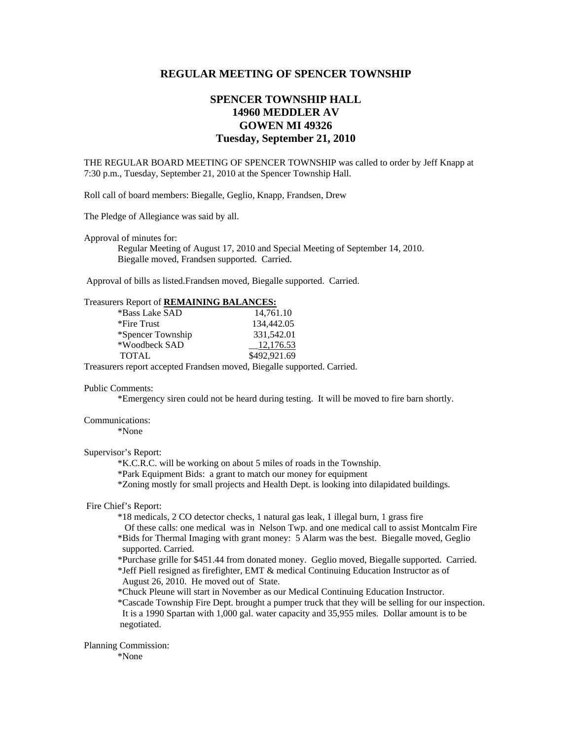# **REGULAR MEETING OF SPENCER TOWNSHIP**

# **SPENCER TOWNSHIP HALL 14960 MEDDLER AV GOWEN MI 49326 Tuesday, September 21, 2010**

THE REGULAR BOARD MEETING OF SPENCER TOWNSHIP was called to order by Jeff Knapp at 7:30 p.m., Tuesday, September 21, 2010 at the Spencer Township Hall.

Roll call of board members: Biegalle, Geglio, Knapp, Frandsen, Drew

The Pledge of Allegiance was said by all.

Approval of minutes for:

 Regular Meeting of August 17, 2010 and Special Meeting of September 14, 2010. Biegalle moved, Frandsen supported. Carried.

Approval of bills as listed.Frandsen moved, Biegalle supported. Carried.

#### Treasurers Report of **REMAINING BALANCES:**

| *Bass Lake SAD    | 14,761.10    |
|-------------------|--------------|
| *Fire Trust       | 134,442.05   |
| *Spencer Township | 331,542.01   |
| *Woodbeck SAD     | 12,176.53    |
| <b>TOTAL</b>      | \$492,921.69 |
|                   |              |

Treasurers report accepted Frandsen moved, Biegalle supported. Carried.

#### Public Comments:

\*Emergency siren could not be heard during testing. It will be moved to fire barn shortly.

## Communications:

\*None

#### Supervisor's Report:

\*K.C.R.C. will be working on about 5 miles of roads in the Township.

\*Park Equipment Bids: a grant to match our money for equipment

\*Zoning mostly for small projects and Health Dept. is looking into dilapidated buildings.

### Fire Chief's Report:

\*18 medicals, 2 CO detector checks, 1 natural gas leak, 1 illegal burn, 1 grass fire

- Of these calls: one medical was in Nelson Twp. and one medical call to assist Montcalm Fire \*Bids for Thermal Imaging with grant money: 5 Alarm was the best. Biegalle moved, Geglio supported. Carried.
- \*Purchase grille for \$451.44 from donated money. Geglio moved, Biegalle supported. Carried. \*Jeff Piell resigned as firefighter, EMT & medical Continuing Education Instructor as of
- August 26, 2010. He moved out of State.
- \*Chuck Pleune will start in November as our Medical Continuing Education Instructor.

 \*Cascade Township Fire Dept. brought a pumper truck that they will be selling for our inspection. It is a 1990 Spartan with 1,000 gal. water capacity and 35,955 miles. Dollar amount is to be negotiated.

## Planning Commission:

\*None